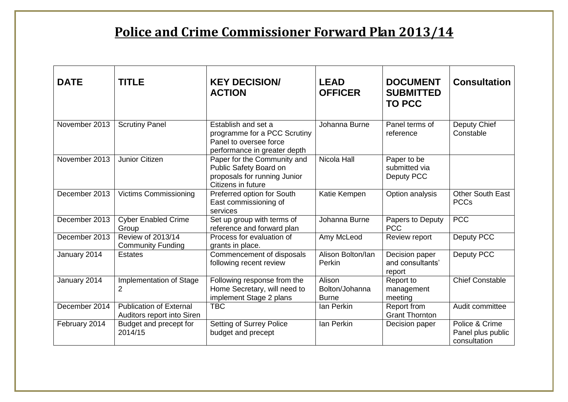## **Police and Crime Commissioner Forward Plan 2013/14**

| <b>DATE</b>   | <b>TITLE</b>                                                 | <b>KEY DECISION/</b><br><b>ACTION</b>                                                                         | <b>LEAD</b><br><b>OFFICER</b>            | <b>DOCUMENT</b><br><b>SUBMITTED</b><br><b>TO PCC</b> | <b>Consultation</b>                                 |
|---------------|--------------------------------------------------------------|---------------------------------------------------------------------------------------------------------------|------------------------------------------|------------------------------------------------------|-----------------------------------------------------|
| November 2013 | <b>Scrutiny Panel</b>                                        | Establish and set a<br>programme for a PCC Scrutiny<br>Panel to oversee force<br>performance in greater depth | Johanna Burne                            | Panel terms of<br>reference                          | Deputy Chief<br>Constable                           |
| November 2013 | <b>Junior Citizen</b>                                        | Paper for the Community and<br>Public Safety Board on<br>proposals for running Junior<br>Citizens in future   | <b>Nicola Hall</b>                       | Paper to be<br>submitted via<br>Deputy PCC           |                                                     |
| December 2013 | <b>Victims Commissioning</b>                                 | Preferred option for South<br>East commissioning of<br>services                                               | Katie Kempen                             | Option analysis                                      | <b>Other South East</b><br><b>PCCs</b>              |
| December 2013 | <b>Cyber Enabled Crime</b><br>Group                          | Set up group with terms of<br>reference and forward plan                                                      | Johanna Burne                            | Papers to Deputy<br><b>PCC</b>                       | <b>PCC</b>                                          |
| December 2013 | <b>Review of 2013/14</b><br><b>Community Funding</b>         | Process for evaluation of<br>grants in place.                                                                 | Amy McLeod                               | Review report                                        | Deputy PCC                                          |
| January 2014  | <b>Estates</b>                                               | Commencement of disposals<br>following recent review                                                          | Alison Bolton/Ian<br>Perkin              | Decision paper<br>and consultants'<br>report         | Deputy PCC                                          |
| January 2014  | Implementation of Stage<br>2                                 | Following response from the<br>Home Secretary, will need to<br>implement Stage 2 plans                        | Alison<br>Bolton/Johanna<br><b>Burne</b> | Report to<br>management<br>meeting                   | <b>Chief Constable</b>                              |
| December 2014 | <b>Publication of External</b><br>Auditors report into Siren | <b>TBC</b>                                                                                                    | Ian Perkin                               | Report from<br><b>Grant Thornton</b>                 | Audit committee                                     |
| February 2014 | Budget and precept for<br>2014/15                            | <b>Setting of Surrey Police</b><br>budget and precept                                                         | Ian Perkin                               | Decision paper                                       | Police & Crime<br>Panel plus public<br>consultation |